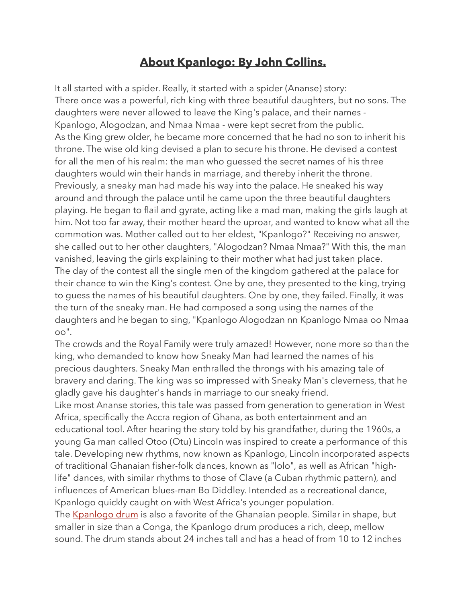## **About Kpanlogo: By John Collins.**

It all started with a spider. Really, it started with a spider (Ananse) story: There once was a powerful, rich king with three beautiful daughters, but no sons. The daughters were never allowed to leave the King's palace, and their names - Kpanlogo, Alogodzan, and Nmaa Nmaa - were kept secret from the public. As the King grew older, he became more concerned that he had no son to inherit his throne. The wise old king devised a plan to secure his throne. He devised a contest for all the men of his realm: the man who guessed the secret names of his three daughters would win their hands in marriage, and thereby inherit the throne. Previously, a sneaky man had made his way into the palace. He sneaked his way around and through the palace until he came upon the three beautiful daughters playing. He began to flail and gyrate, acting like a mad man, making the girls laugh at him. Not too far away, their mother heard the uproar, and wanted to know what all the commotion was. Mother called out to her eldest, "Kpanlogo?" Receiving no answer, she called out to her other daughters, "Alogodzan? Nmaa Nmaa?" With this, the man vanished, leaving the girls explaining to their mother what had just taken place. The day of the contest all the single men of the kingdom gathered at the palace for their chance to win the King's contest. One by one, they presented to the king, trying to guess the names of his beautiful daughters. One by one, they failed. Finally, it was the turn of the sneaky man. He had composed a song using the names of the daughters and he began to sing, "Kpanlogo Alogodzan nn Kpanlogo Nmaa oo Nmaa oo".

The crowds and the Royal Family were truly amazed! However, none more so than the king, who demanded to know how Sneaky Man had learned the names of his precious daughters. Sneaky Man enthralled the throngs with his amazing tale of bravery and daring. The king was so impressed with Sneaky Man's cleverness, that he gladly gave his daughter's hands in marriage to our sneaky friend.

Like most Ananse stories, this tale was passed from generation to generation in West Africa, specifically the Accra region of Ghana, as both entertainment and an educational tool. After hearing the story told by his grandfather, during the 1960s, a young Ga man called Otoo (Otu) Lincoln was inspired to create a performance of this tale. Developing new rhythms, now known as Kpanlogo, Lincoln incorporated aspects of traditional Ghanaian fisher-folk dances, known as "lolo", as well as African "highlife" dances, with similar rhythms to those of Clave (a Cuban rhythmic pattern), and influences of American blues-man Bo Diddley. Intended as a recreational dance, Kpanlogo quickly caught on with West Africa's younger population.

The [Kpanlogo drum](http://www.copperstreasurechest.com/catalog/item/4836701/4873559.htm) is also a favorite of the Ghanaian people. Similar in shape, but smaller in size than a Conga, the Kpanlogo drum produces a rich, deep, mellow sound. The drum stands about 24 inches tall and has a head of from 10 to 12 inches